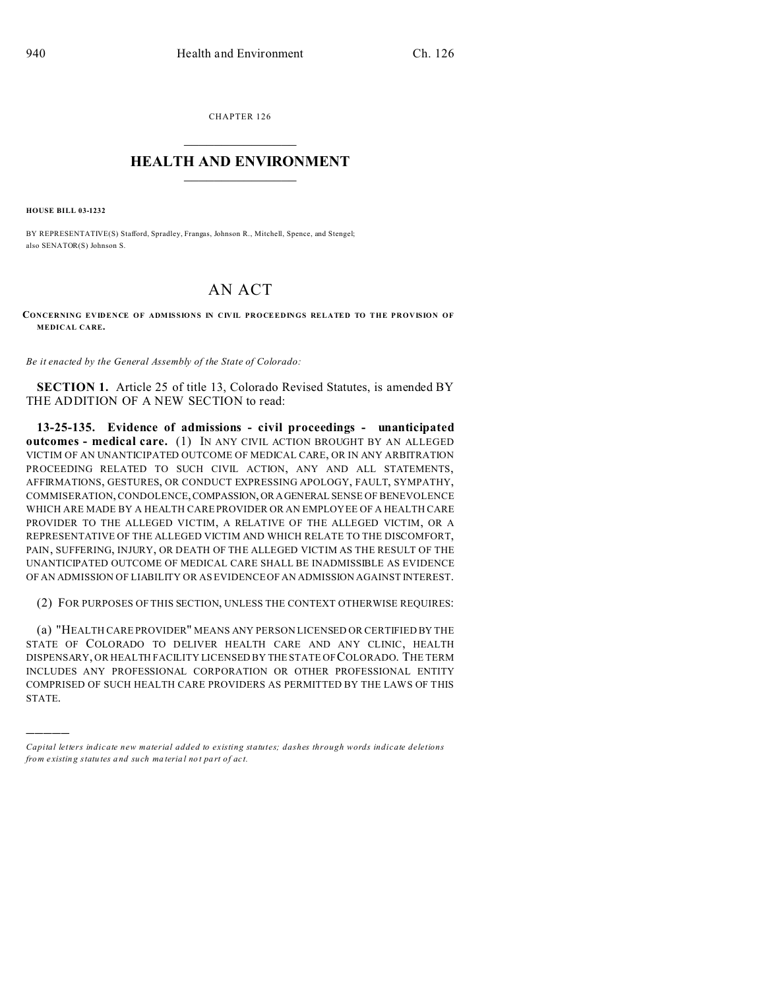CHAPTER 126  $\overline{\phantom{a}}$  , where  $\overline{\phantom{a}}$ 

## **HEALTH AND ENVIRONMENT**  $\_$   $\_$   $\_$   $\_$   $\_$   $\_$   $\_$   $\_$

**HOUSE BILL 03-1232**

)))))

BY REPRESENTATIVE(S) Stafford, Spradley, Frangas, Johnson R., Mitchell, Spence, and Stengel; also SENATOR(S) Johnson S.

## AN ACT

**CONCERNING EVIDENCE OF ADMISSIONS IN CIVIL PROCEEDINGS RELATED TO THE PROVISION OF MEDICAL CARE.**

*Be it enacted by the General Assembly of the State of Colorado:*

**SECTION 1.** Article 25 of title 13, Colorado Revised Statutes, is amended BY THE ADDITION OF A NEW SECTION to read:

**13-25-135. Evidence of admissions - civil proceedings - unanticipated outcomes - medical care.** (1) IN ANY CIVIL ACTION BROUGHT BY AN ALLEGED VICTIM OF AN UNANTICIPATED OUTCOME OF MEDICAL CARE, OR IN ANY ARBITRATION PROCEEDING RELATED TO SUCH CIVIL ACTION, ANY AND ALL STATEMENTS, AFFIRMATIONS, GESTURES, OR CONDUCT EXPRESSING APOLOGY, FAULT, SYMPATHY, COMMISERATION, CONDOLENCE,COMPASSION,OR AGENERAL SENSE OF BENEVOLENCE WHICH ARE MADE BY A HEALTH CARE PROVIDER OR AN EMPLOYEE OF A HEALTH CARE PROVIDER TO THE ALLEGED VICTIM, A RELATIVE OF THE ALLEGED VICTIM, OR A REPRESENTATIVE OF THE ALLEGED VICTIM AND WHICH RELATE TO THE DISCOMFORT, PAIN, SUFFERING, INJURY, OR DEATH OF THE ALLEGED VICTIM AS THE RESULT OF THE UNANTICIPATED OUTCOME OF MEDICAL CARE SHALL BE INADMISSIBLE AS EVIDENCE OF AN ADMISSION OF LIABILITY OR AS EVIDENCE OF AN ADMISSION AGAINST INTEREST.

(2) FOR PURPOSES OF THIS SECTION, UNLESS THE CONTEXT OTHERWISE REQUIRES:

(a) "HEALTH CARE PROVIDER" MEANS ANY PERSON LICENSED OR CERTIFIED BY THE STATE OF COLORADO TO DELIVER HEALTH CARE AND ANY CLINIC, HEALTH DISPENSARY, OR HEALTH FACILITY LICENSED BY THE STATE OF COLORADO. THE TERM INCLUDES ANY PROFESSIONAL CORPORATION OR OTHER PROFESSIONAL ENTITY COMPRISED OF SUCH HEALTH CARE PROVIDERS AS PERMITTED BY THE LAWS OF THIS STATE.

*Capital letters indicate new material added to existing statutes; dashes through words indicate deletions from e xistin g statu tes a nd such ma teria l no t pa rt of ac t.*